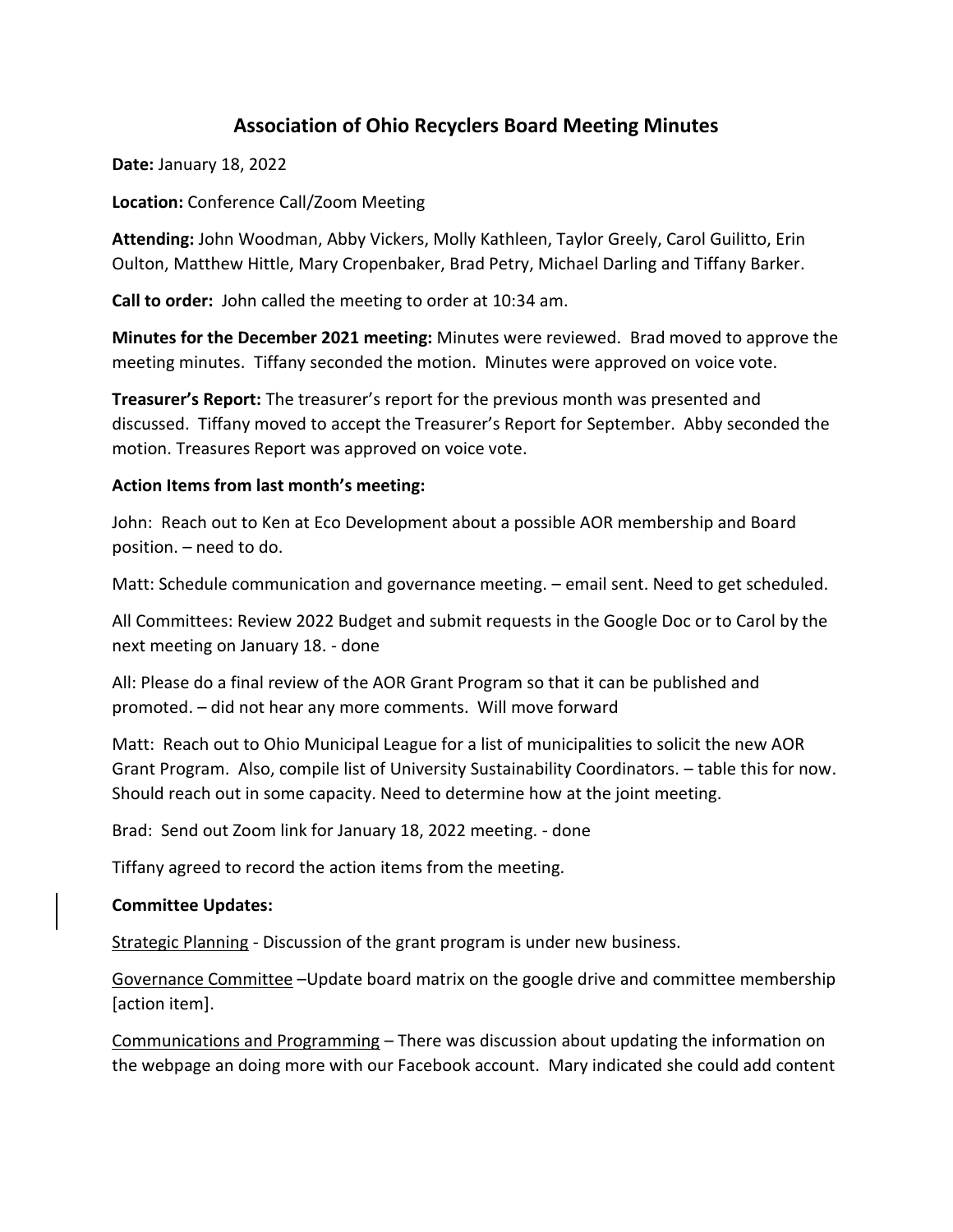# **Association of Ohio Recyclers Board Meeting Minutes**

**Date:** January 18, 2022

**Location:** Conference Call/Zoom Meeting

**Attending:** John Woodman, Abby Vickers, Molly Kathleen, Taylor Greely, Carol Guilitto, Erin Oulton, Matthew Hittle, Mary Cropenbaker, Brad Petry, Michael Darling and Tiffany Barker.

**Call to order:** John called the meeting to order at 10:34 am.

**Minutes for the December 2021 meeting:** Minutes were reviewed. Brad moved to approve the meeting minutes. Tiffany seconded the motion. Minutes were approved on voice vote.

**Treasurer's Report:** The treasurer's report for the previous month was presented and discussed. Tiffany moved to accept the Treasurer's Report for September. Abby seconded the motion. Treasures Report was approved on voice vote.

## **Action Items from last month's meeting:**

John: Reach out to Ken at Eco Development about a possible AOR membership and Board position. – need to do.

Matt: Schedule communication and governance meeting. – email sent. Need to get scheduled.

All Committees: Review 2022 Budget and submit requests in the Google Doc or to Carol by the next meeting on January 18. - done

All: Please do a final review of the AOR Grant Program so that it can be published and promoted. – did not hear any more comments. Will move forward

Matt: Reach out to Ohio Municipal League for a list of municipalities to solicit the new AOR Grant Program. Also, compile list of University Sustainability Coordinators. – table this for now. Should reach out in some capacity. Need to determine how at the joint meeting.

Brad: Send out Zoom link for January 18, 2022 meeting. - done

Tiffany agreed to record the action items from the meeting.

# **Committee Updates:**

Strategic Planning - Discussion of the grant program is under new business.

Governance Committee –Update board matrix on the google drive and committee membership [action item].

Communications and Programming – There was discussion about updating the information on the webpage an doing more with our Facebook account. Mary indicated she could add content